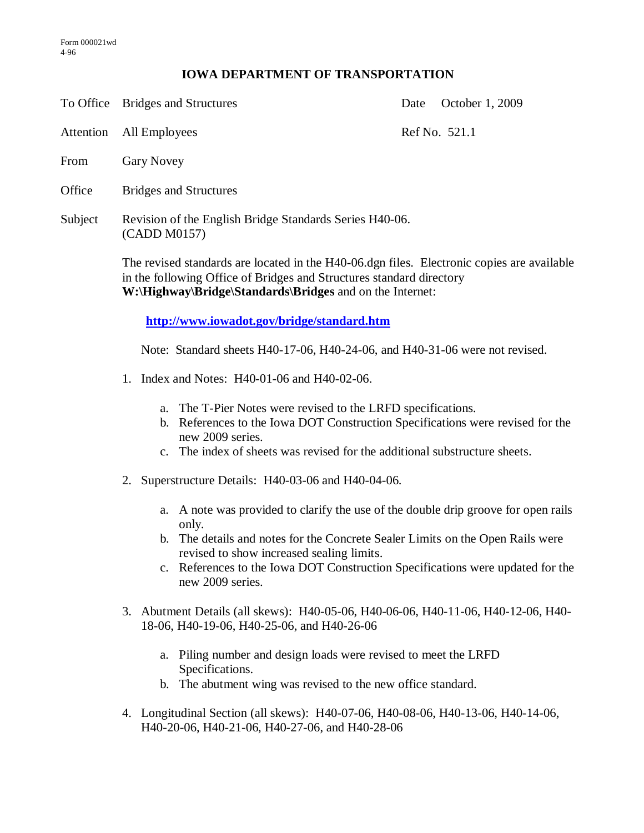## **IOWA DEPARTMENT OF TRANSPORTATION**

To Office Bridges and Structures Date October 1, 2009

Attention All Employees Ref No. 521.1

- From Gary Novey
- Office Bridges and Structures
- Subject Revision of the English Bridge Standards Series H40-06. (CADD M0157)

The revised standards are located in the H40-06.dgn files. Electronic copies are available in the following Office of Bridges and Structures standard directory **W:\Highway\Bridge\Standards\Bridges** and on the Internet:

**<http://www.iowadot.gov/bridge/standard.htm>**

Note: Standard sheets H40-17-06, H40-24-06, and H40-31-06 were not revised.

- 1. Index and Notes: H40-01-06 and H40-02-06.
	- a. The T-Pier Notes were revised to the LRFD specifications.
	- b. References to the Iowa DOT Construction Specifications were revised for the new 2009 series.
	- c. The index of sheets was revised for the additional substructure sheets.
- 2. Superstructure Details: H40-03-06 and H40-04-06.
	- a. A note was provided to clarify the use of the double drip groove for open rails only.
	- b. The details and notes for the Concrete Sealer Limits on the Open Rails were revised to show increased sealing limits.
	- c. References to the Iowa DOT Construction Specifications were updated for the new 2009 series.
- 3. Abutment Details (all skews): H40-05-06, H40-06-06, H40-11-06, H40-12-06, H40- 18-06, H40-19-06, H40-25-06, and H40-26-06
	- a. Piling number and design loads were revised to meet the LRFD Specifications.
	- b. The abutment wing was revised to the new office standard.
- 4. Longitudinal Section (all skews): H40-07-06, H40-08-06, H40-13-06, H40-14-06, H40-20-06, H40-21-06, H40-27-06, and H40-28-06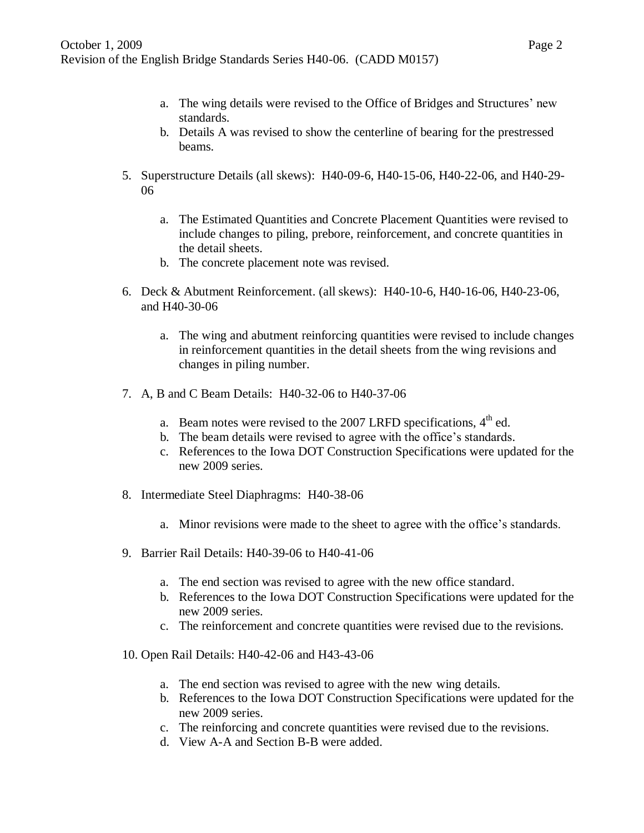- a. The wing details were revised to the Office of Bridges and Structures' new standards.
- b. Details A was revised to show the centerline of bearing for the prestressed beams.
- 5. Superstructure Details (all skews): H40-09-6, H40-15-06, H40-22-06, and H40-29- 06
	- a. The Estimated Quantities and Concrete Placement Quantities were revised to include changes to piling, prebore, reinforcement, and concrete quantities in the detail sheets.
	- b. The concrete placement note was revised.
- 6. Deck & Abutment Reinforcement. (all skews): H40-10-6, H40-16-06, H40-23-06, and H40-30-06
	- a. The wing and abutment reinforcing quantities were revised to include changes in reinforcement quantities in the detail sheets from the wing revisions and changes in piling number.
- 7. A, B and C Beam Details: H40-32-06 to H40-37-06
	- a. Beam notes were revised to the 2007 LRFD specifications,  $4<sup>th</sup>$  ed.
	- b. The beam details were revised to agree with the office's standards.
	- c. References to the Iowa DOT Construction Specifications were updated for the new 2009 series.
- 8. Intermediate Steel Diaphragms: H40-38-06
	- a. Minor revisions were made to the sheet to agree with the office's standards.
- 9. Barrier Rail Details: H40-39-06 to H40-41-06
	- a. The end section was revised to agree with the new office standard.
	- b. References to the Iowa DOT Construction Specifications were updated for the new 2009 series.
	- c. The reinforcement and concrete quantities were revised due to the revisions.
- 10. Open Rail Details: H40-42-06 and H43-43-06
	- a. The end section was revised to agree with the new wing details.
	- b. References to the Iowa DOT Construction Specifications were updated for the new 2009 series.
	- c. The reinforcing and concrete quantities were revised due to the revisions.
	- d. View A-A and Section B-B were added.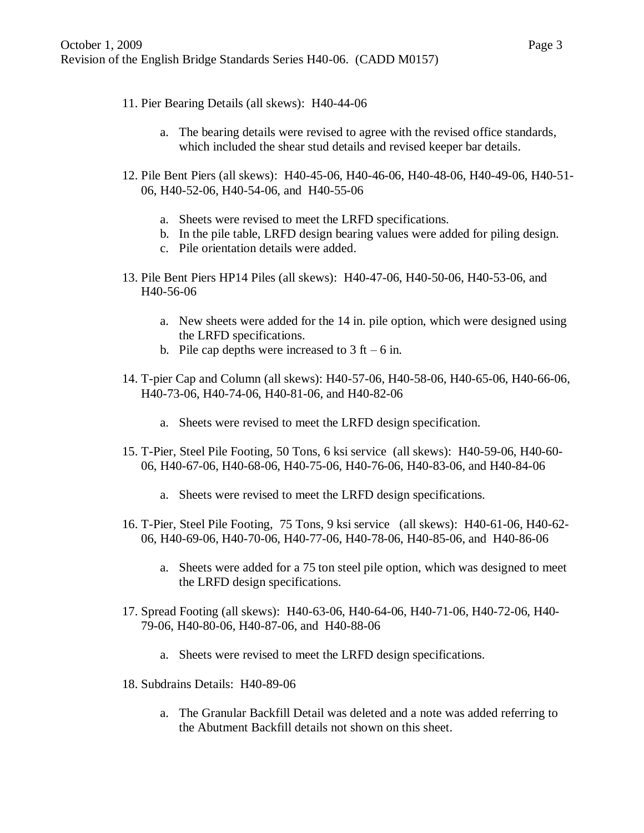- 11. Pier Bearing Details (all skews): H40-44-06
	- a. The bearing details were revised to agree with the revised office standards, which included the shear stud details and revised keeper bar details.
- 12. Pile Bent Piers (all skews): H40-45-06, H40-46-06, H40-48-06, H40-49-06, H40-51- 06, H40-52-06, H40-54-06, and H40-55-06
	- a. Sheets were revised to meet the LRFD specifications.
	- b. In the pile table, LRFD design bearing values were added for piling design.
	- c. Pile orientation details were added.
- 13. Pile Bent Piers HP14 Piles (all skews): H40-47-06, H40-50-06, H40-53-06, and H40-56-06
	- a. New sheets were added for the 14 in. pile option, which were designed using the LRFD specifications.
	- b. Pile cap depths were increased to  $3 \text{ ft} 6 \text{ in.}$
- 14. T-pier Cap and Column (all skews): H40-57-06, H40-58-06, H40-65-06, H40-66-06, H40-73-06, H40-74-06, H40-81-06, and H40-82-06
	- a. Sheets were revised to meet the LRFD design specification.
- 15. T-Pier, Steel Pile Footing, 50 Tons, 6 ksi service (all skews): H40-59-06, H40-60- 06, H40-67-06, H40-68-06, H40-75-06, H40-76-06, H40-83-06, and H40-84-06
	- a. Sheets were revised to meet the LRFD design specifications.
- 16. T-Pier, Steel Pile Footing, 75 Tons, 9 ksi service (all skews): H40-61-06, H40-62- 06, H40-69-06, H40-70-06, H40-77-06, H40-78-06, H40-85-06, and H40-86-06
	- a. Sheets were added for a 75 ton steel pile option, which was designed to meet the LRFD design specifications.
- 17. Spread Footing (all skews): H40-63-06, H40-64-06, H40-71-06, H40-72-06, H40- 79-06, H40-80-06, H40-87-06, and H40-88-06
	- a. Sheets were revised to meet the LRFD design specifications.
- 18. Subdrains Details: H40-89-06
	- a. The Granular Backfill Detail was deleted and a note was added referring to the Abutment Backfill details not shown on this sheet.